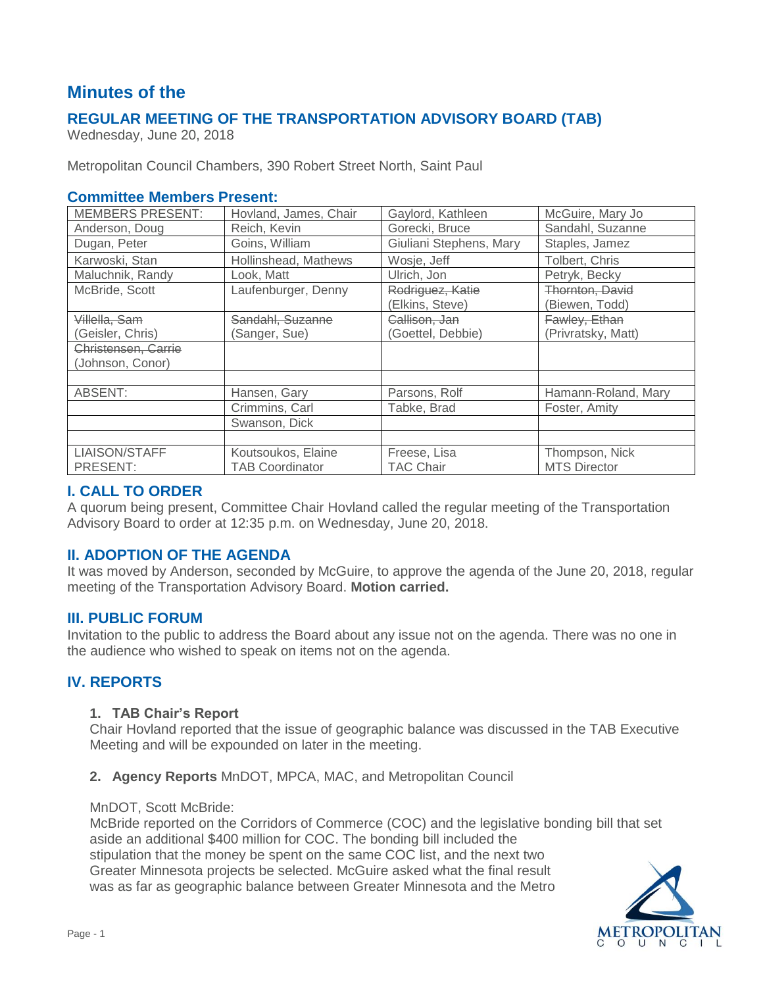# **Minutes of the**

# **REGULAR MEETING OF THE TRANSPORTATION ADVISORY BOARD (TAB)**

Wednesday, June 20, 2018

Metropolitan Council Chambers, 390 Robert Street North, Saint Paul

### **Committee Members Present:**

| <b>MEMBERS PRESENT:</b> | Hovland, James, Chair  | Gaylord, Kathleen       | McGuire, Mary Jo    |
|-------------------------|------------------------|-------------------------|---------------------|
| Anderson, Doug          | Reich, Kevin           | Gorecki, Bruce          | Sandahl, Suzanne    |
| Dugan, Peter            | Goins, William         | Giuliani Stephens, Mary | Staples, Jamez      |
| Karwoski, Stan          | Hollinshead, Mathews   | Wosje, Jeff             | Tolbert, Chris      |
| Maluchnik, Randy        | Look. Matt             | Ulrich, Jon             | Petryk, Becky       |
| McBride, Scott          | Laufenburger, Denny    | Rodriguez, Katie        | Thornton, David     |
|                         |                        | (Elkins, Steve)         | (Biewen, Todd)      |
| Villella, Sam           | Sandahl, Suzanne       | Callison, Jan           | Fawley, Ethan       |
| (Geisler, Chris)        | (Sanger, Sue)          | (Goettel, Debbie)       | (Privratsky, Matt)  |
| Christensen, Carrie     |                        |                         |                     |
| (Johnson, Conor)        |                        |                         |                     |
|                         |                        |                         |                     |
| ABSENT:                 | Hansen, Gary           | Parsons, Rolf           | Hamann-Roland, Mary |
|                         | Crimmins, Carl         | Tabke, Brad             | Foster, Amity       |
|                         | Swanson, Dick          |                         |                     |
|                         |                        |                         |                     |
| LIAISON/STAFF           | Koutsoukos, Elaine     | Freese, Lisa            | Thompson, Nick      |
| PRESENT:                | <b>TAB Coordinator</b> | <b>TAC Chair</b>        | <b>MTS Director</b> |

### **I. CALL TO ORDER**

A quorum being present, Committee Chair Hovland called the regular meeting of the Transportation Advisory Board to order at 12:35 p.m. on Wednesday, June 20, 2018.

# **II. ADOPTION OF THE AGENDA**

It was moved by Anderson, seconded by McGuire, to approve the agenda of the June 20, 2018, regular meeting of the Transportation Advisory Board. **Motion carried.**

### **III. PUBLIC FORUM**

Invitation to the public to address the Board about any issue not on the agenda. There was no one in the audience who wished to speak on items not on the agenda.

# **IV. REPORTS**

#### **1. TAB Chair's Report**

Chair Hovland reported that the issue of geographic balance was discussed in the TAB Executive Meeting and will be expounded on later in the meeting.

#### **2. Agency Reports** MnDOT, MPCA, MAC, and Metropolitan Council

#### MnDOT, Scott McBride:

McBride reported on the Corridors of Commerce (COC) and the legislative bonding bill that set aside an additional \$400 million for COC. The bonding bill included the stipulation that the money be spent on the same COC list, and the next two Greater Minnesota projects be selected. McGuire asked what the final result was as far as geographic balance between Greater Minnesota and the Metro

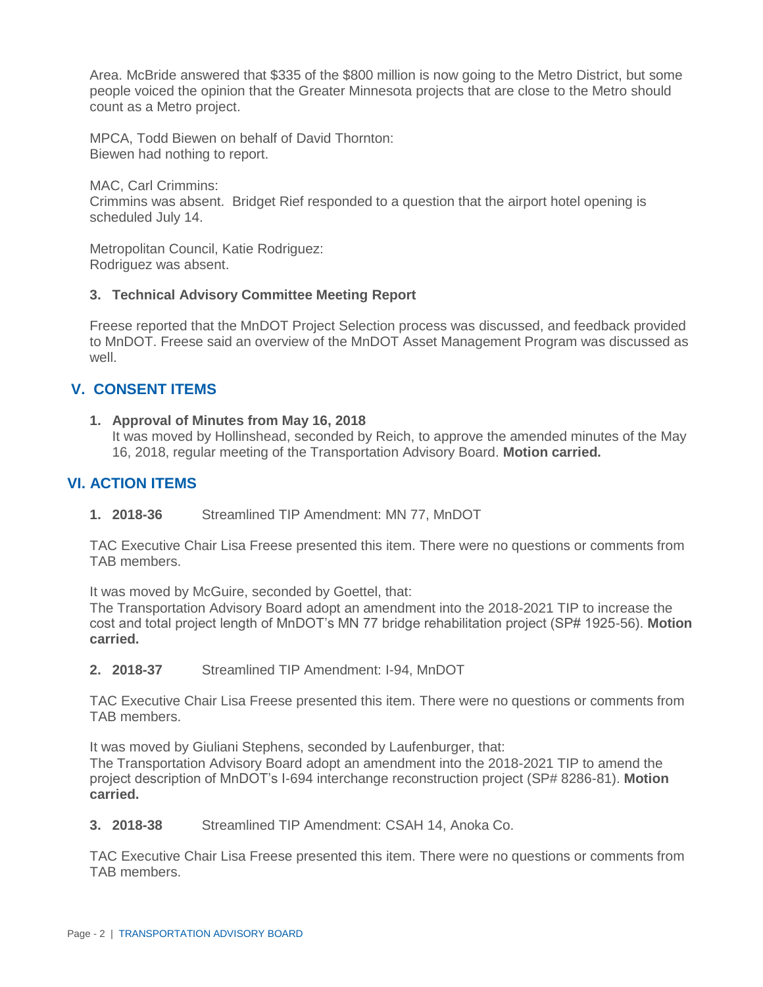Area. McBride answered that \$335 of the \$800 million is now going to the Metro District, but some people voiced the opinion that the Greater Minnesota projects that are close to the Metro should count as a Metro project.

MPCA, Todd Biewen on behalf of David Thornton: Biewen had nothing to report.

MAC, Carl Crimmins:

Crimmins was absent. Bridget Rief responded to a question that the airport hotel opening is scheduled July 14.

Metropolitan Council, Katie Rodriguez: Rodriguez was absent.

### **3. Technical Advisory Committee Meeting Report**

Freese reported that the MnDOT Project Selection process was discussed, and feedback provided to MnDOT. Freese said an overview of the MnDOT Asset Management Program was discussed as well.

# **V. CONSENT ITEMS**

**1. Approval of Minutes from May 16, 2018**

It was moved by Hollinshead, seconded by Reich, to approve the amended minutes of the May 16, 2018, regular meeting of the Transportation Advisory Board. **Motion carried.**

# **VI. ACTION ITEMS**

**1. 2018-36** Streamlined TIP Amendment: MN 77, MnDOT

TAC Executive Chair Lisa Freese presented this item. There were no questions or comments from TAB members.

It was moved by McGuire, seconded by Goettel, that:

The Transportation Advisory Board adopt an amendment into the 2018-2021 TIP to increase the cost and total project length of MnDOT's MN 77 bridge rehabilitation project (SP# 1925-56). **Motion carried.**

**2. 2018-37** Streamlined TIP Amendment: I-94, MnDOT

TAC Executive Chair Lisa Freese presented this item. There were no questions or comments from TAB members.

It was moved by Giuliani Stephens, seconded by Laufenburger, that:

The Transportation Advisory Board adopt an amendment into the 2018-2021 TIP to amend the project description of MnDOT's I-694 interchange reconstruction project (SP# 8286-81). **Motion carried.**

**3. 2018-38** Streamlined TIP Amendment: CSAH 14, Anoka Co.

TAC Executive Chair Lisa Freese presented this item. There were no questions or comments from TAB members.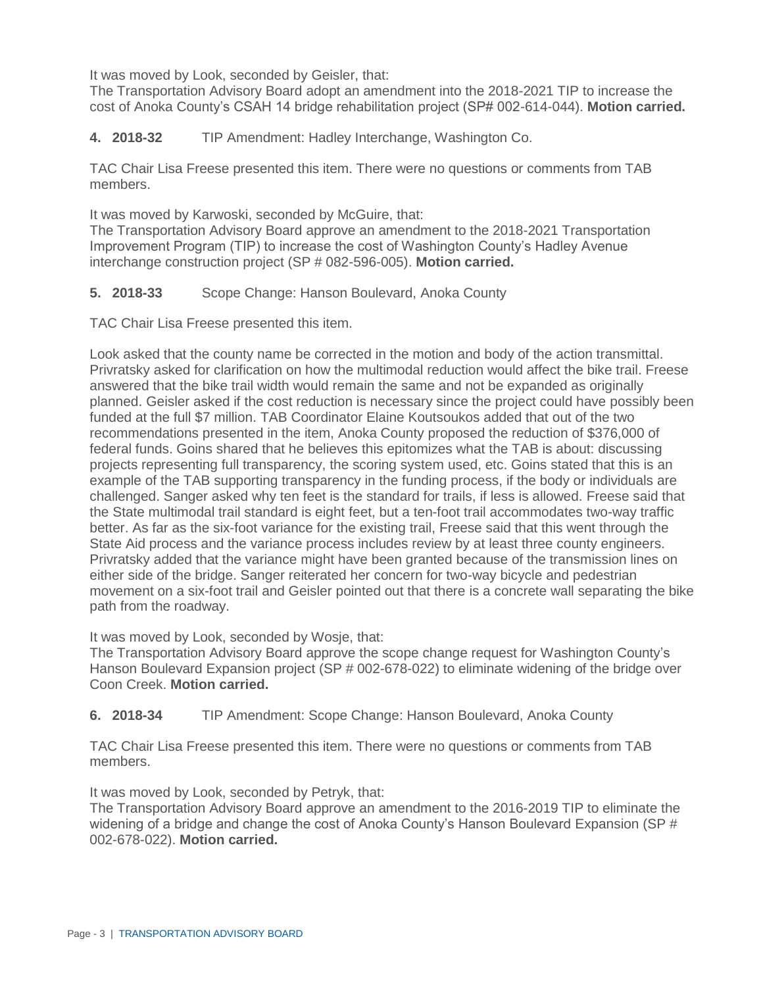It was moved by Look, seconded by Geisler, that:

The Transportation Advisory Board adopt an amendment into the 2018-2021 TIP to increase the cost of Anoka County's CSAH 14 bridge rehabilitation project (SP# 002-614-044). **Motion carried.**

**4. 2018-32** TIP Amendment: Hadley Interchange, Washington Co.

TAC Chair Lisa Freese presented this item. There were no questions or comments from TAB members.

It was moved by Karwoski, seconded by McGuire, that:

The Transportation Advisory Board approve an amendment to the 2018-2021 Transportation Improvement Program (TIP) to increase the cost of Washington County's Hadley Avenue interchange construction project (SP # 082-596-005). **Motion carried.**

### **5. 2018-33** Scope Change: Hanson Boulevard, Anoka County

TAC Chair Lisa Freese presented this item.

Look asked that the county name be corrected in the motion and body of the action transmittal. Privratsky asked for clarification on how the multimodal reduction would affect the bike trail. Freese answered that the bike trail width would remain the same and not be expanded as originally planned. Geisler asked if the cost reduction is necessary since the project could have possibly been funded at the full \$7 million. TAB Coordinator Elaine Koutsoukos added that out of the two recommendations presented in the item, Anoka County proposed the reduction of \$376,000 of federal funds. Goins shared that he believes this epitomizes what the TAB is about: discussing projects representing full transparency, the scoring system used, etc. Goins stated that this is an example of the TAB supporting transparency in the funding process, if the body or individuals are challenged. Sanger asked why ten feet is the standard for trails, if less is allowed. Freese said that the State multimodal trail standard is eight feet, but a ten-foot trail accommodates two-way traffic better. As far as the six-foot variance for the existing trail, Freese said that this went through the State Aid process and the variance process includes review by at least three county engineers. Privratsky added that the variance might have been granted because of the transmission lines on either side of the bridge. Sanger reiterated her concern for two-way bicycle and pedestrian movement on a six-foot trail and Geisler pointed out that there is a concrete wall separating the bike path from the roadway.

It was moved by Look, seconded by Wosje, that:

The Transportation Advisory Board approve the scope change request for Washington County's Hanson Boulevard Expansion project (SP # 002-678-022) to eliminate widening of the bridge over Coon Creek. **Motion carried.**

**6. 2018-34** TIP Amendment: Scope Change: Hanson Boulevard, Anoka County

TAC Chair Lisa Freese presented this item. There were no questions or comments from TAB members.

It was moved by Look, seconded by Petryk, that:

The Transportation Advisory Board approve an amendment to the 2016-2019 TIP to eliminate the widening of a bridge and change the cost of Anoka County's Hanson Boulevard Expansion (SP # 002-678-022). **Motion carried.**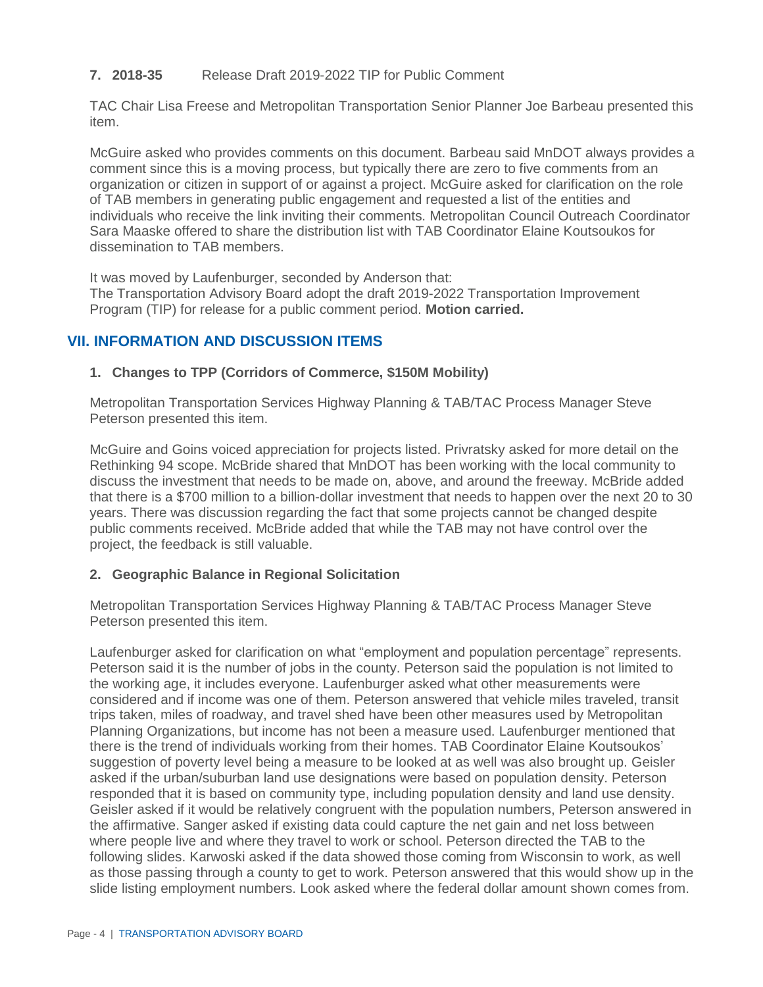### **7. 2018-35** Release Draft 2019-2022 TIP for Public Comment

TAC Chair Lisa Freese and Metropolitan Transportation Senior Planner Joe Barbeau presented this item.

McGuire asked who provides comments on this document. Barbeau said MnDOT always provides a comment since this is a moving process, but typically there are zero to five comments from an organization or citizen in support of or against a project. McGuire asked for clarification on the role of TAB members in generating public engagement and requested a list of the entities and individuals who receive the link inviting their comments. Metropolitan Council Outreach Coordinator Sara Maaske offered to share the distribution list with TAB Coordinator Elaine Koutsoukos for dissemination to TAB members.

It was moved by Laufenburger, seconded by Anderson that:

The Transportation Advisory Board adopt the draft 2019-2022 Transportation Improvement Program (TIP) for release for a public comment period. **Motion carried.**

## **VII. INFORMATION AND DISCUSSION ITEMS**

### **1. Changes to TPP (Corridors of Commerce, \$150M Mobility)**

Metropolitan Transportation Services Highway Planning & TAB/TAC Process Manager Steve Peterson presented this item.

McGuire and Goins voiced appreciation for projects listed. Privratsky asked for more detail on the Rethinking 94 scope. McBride shared that MnDOT has been working with the local community to discuss the investment that needs to be made on, above, and around the freeway. McBride added that there is a \$700 million to a billion-dollar investment that needs to happen over the next 20 to 30 years. There was discussion regarding the fact that some projects cannot be changed despite public comments received. McBride added that while the TAB may not have control over the project, the feedback is still valuable.

#### **2. Geographic Balance in Regional Solicitation**

Metropolitan Transportation Services Highway Planning & TAB/TAC Process Manager Steve Peterson presented this item.

Laufenburger asked for clarification on what "employment and population percentage" represents. Peterson said it is the number of jobs in the county. Peterson said the population is not limited to the working age, it includes everyone. Laufenburger asked what other measurements were considered and if income was one of them. Peterson answered that vehicle miles traveled, transit trips taken, miles of roadway, and travel shed have been other measures used by Metropolitan Planning Organizations, but income has not been a measure used. Laufenburger mentioned that there is the trend of individuals working from their homes. TAB Coordinator Elaine Koutsoukos' suggestion of poverty level being a measure to be looked at as well was also brought up. Geisler asked if the urban/suburban land use designations were based on population density. Peterson responded that it is based on community type, including population density and land use density. Geisler asked if it would be relatively congruent with the population numbers, Peterson answered in the affirmative. Sanger asked if existing data could capture the net gain and net loss between where people live and where they travel to work or school. Peterson directed the TAB to the following slides. Karwoski asked if the data showed those coming from Wisconsin to work, as well as those passing through a county to get to work. Peterson answered that this would show up in the slide listing employment numbers. Look asked where the federal dollar amount shown comes from.